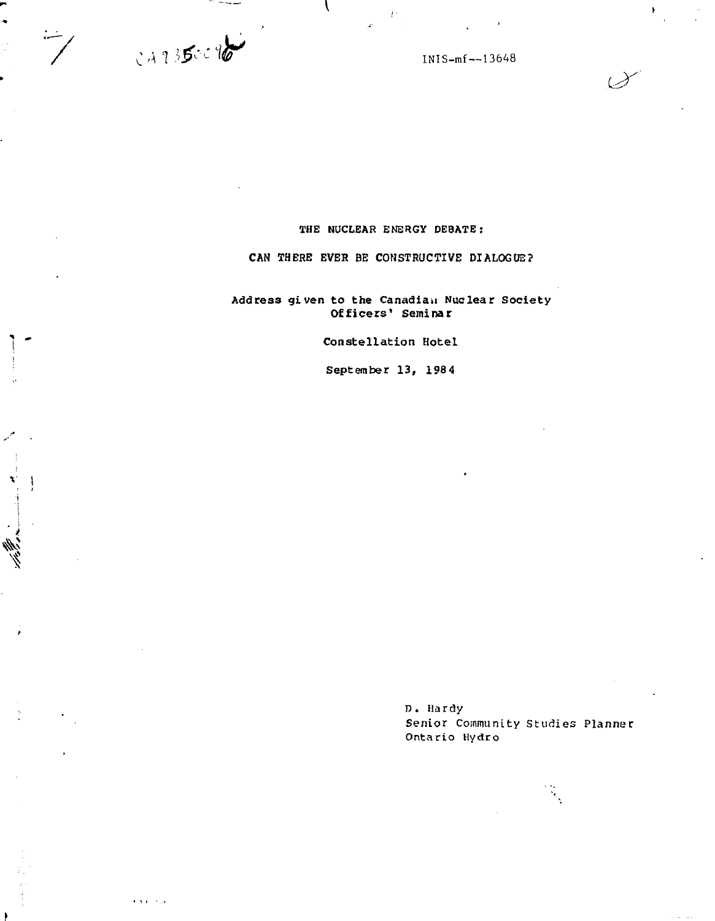0 *A* '] *'>£ IW <sup>C</sup> ' :*

 $\mathbf{r}$  ,  $\mathbf{r}$  ,  $\mathbf{r}$  ,  $\mathbf{r}$  ,

نست<br>/

**Contract Contract** 

**4J 1**  *IW* INIS-mf —13648

## **THE NUCLEAR ENERGY DEBATE :**

## **CAN THERE EVER BE CONSTRUCTIVE DIALOGUE?**

Address given to the Canadian Nuclear Society **Officers' Seminar**

**Constellation Hotel**

**September 13, 1984**

D. Hardy Senior Community Studies Planner Ontario Hydro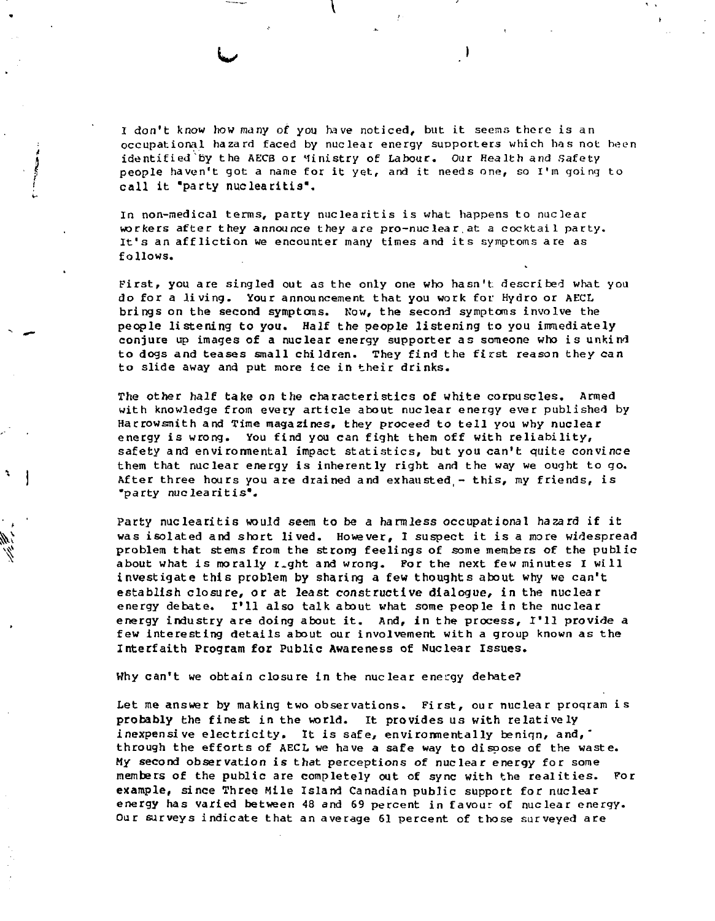I don't know how many of you have noticed, but it seems there is an occupational hazard faced by nuclear energy supporters which has not heen identified by the AECB or Ministry of Labour. Our Health and Safety people haven't got a name for it yet, and it needs one, so I'm going to call it "party nuclearitis".

:

In non-medical terms, party nuclearitis is what happens to nuclear workers after they announce they are pro-nuclear.at a cocktail party. It's an affliction we encounter many times and its symptoms are as follows.

First, you are singled out *as* the only one who hasn't described what you do for a Jiving. Your announcement that you work for Hydro or AECL brings on the second symptoms. Now, the second symptoms involve the people listening to you. Half the people listening to you immediately conjure up images of a nuclear energy supporter as someone who is unkind to dogs and teases small children. They find the fisrst reason they *can* to slide away and put more ice in their drinks.

The other half take on the characteristics of white corpuscles. Armed with knowledge from every article about nuclear energy ever published by Harrowsmith and Time magazines, they proceed to tell you why nuclear energy is wrong. You find you can fight them off with reliability, safety and environmental impact statistics, but you can't quite convince them that nuclear energy is inherently right and the way we ought to go. After three hours you are drained and exhausted  $-$  this, my friends, is •party nuclearitis".

Party nuclearitis would seem to be a harmless occupational hazard if it was isolated and short lived. However, I suspect it is a more widespread problem that stems from the strong feelings of some members of the public about what is morally  $r<sub>z</sub>$ ght and wrong. For the next few minutes I will investigate this problem by sharing a few thoughts about why we can't establish closure, or at least constructive dialogue, in the nuclear energy debate. I'll also talk about what some people in the nuclear energy industry are doing about it. And, in the process, I'll provide a few interesting details about our involvement with a group known as the Interfaith Program for Public Awareness of Nuclear Issues.

Why can't we obtain closure in the nuclear energy debate?

Let me answer by making two observations. First, our nuclear proqram is probably the finest in the world. It provides us with relatively inexpensive electricity. It is safe, environmentally beniqn, and, through the efforts of AECL we have a safe way to dispose of the waste. My second observation is that perceptions of nuclear energy for some members of the public are completely out of sync with the realities. For example, since Three Mile Island Canadian public support for nuclear energy has varied between 48 and 69 percent in favour of nuclear energy. Our surveys indicate that an average 61 percent of those surveyed are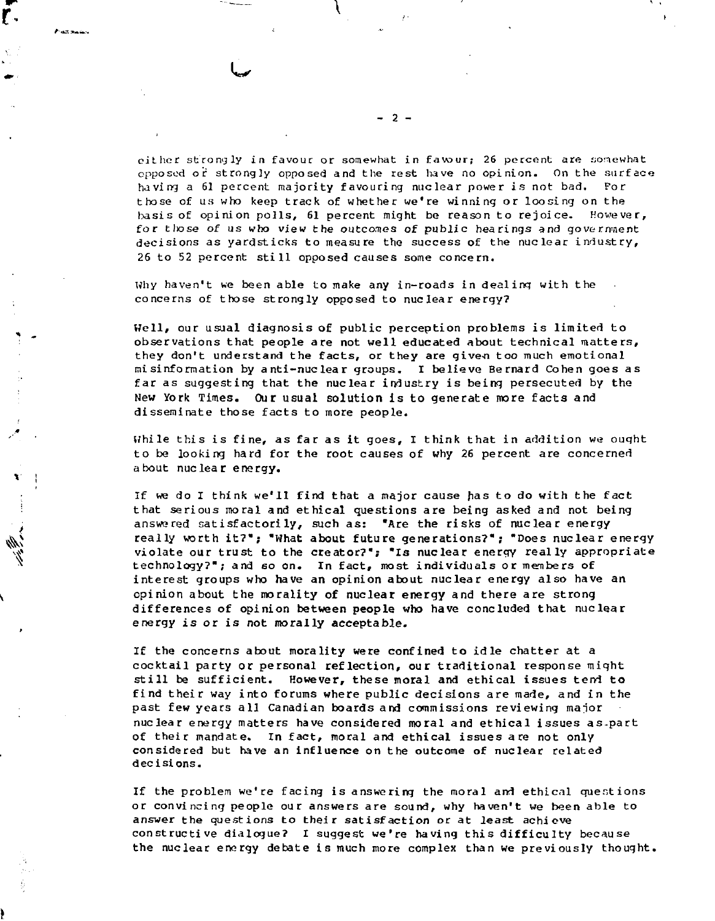.<br>Prast mason

r.

.\*

 $\mathbf{x}^* = \mathbf{1}$ 

*t*

cither strongly in favour or somewhat in favour; 26 percent are aoncwhat opposed or strongly opposed and the rest have no opinion. On the surface having a 61 percent majority favouring nuclear power is not bad. For those of us who keep track of whether we're winning or loosing on the basis of opinion polls, 61 percent might be reason to rejoice. However, for those of us who view the outcomes of public hearings and government decisions as yardsticks to measure the success of the nuclear industry, 26 to 52 percent still opposed causes some concern.

Why haven't we been able to make any in-roads in dealing with the concerns of those strongly opposed to nuclear energy?

Well, our usual diagnosis of public perception problems is limited to observations that people are not well educated about technical matters, they don't understand the facts, or they are given too much emotional misinformation by anti-nuclear groups. I believe Bernard Cohen goes as far as suggesting that the nuclear industry is beinq persecuted by the New York Times. Our usual solution is to generate more facts and disseminate those facts to more people.

While this is fine, as far as it goes, I think that in addition we ouqht to be looking hard for the root causes of why 26 percent are concerned about nuclear energy.

: If we do I think we'll find that a major cause has to do with the fact : that serious moral and ethical questions are being asked and not being answered satisfactorily, such as: "Are the risks of nuclear energy really worth it?"; "What about future generations?"; "Does nuclear energy violate our trust to the creator?"; "Is nuclear energy really appropriate technology?"; and so on. In fact, most individuals or members of interest groups who have an opinion about nuclear energy also have an opinion about the morality of nuclear energy and there are strong differences of opinion between people who have concluded that nuclear energy is or is not morally acceptable.

If the concerns about morality were confined to idle chatter at a cocktail party or personal reflection, our traditional response might still be sufficient. However, these moral and ethical issues tend to find their way into forums where public decisions are made, and in the past few years all Canadian boards and commissions reviewing maior nuclear energy matters have considered moral and ethical issues as-part of their mandate. In fact, moral and ethical issues are not only considered but have an influence on the outcome of nuclear related decisions.

If the problem we're facing is answering the moral and ethical questions or convincing people our answers are sound, why haven't we been able to answer the questions to their satisfaction or at least achieve constructive dialogue? I suggest we're having this difficulty because the nuclear energy debate is much more complex than we previously thought.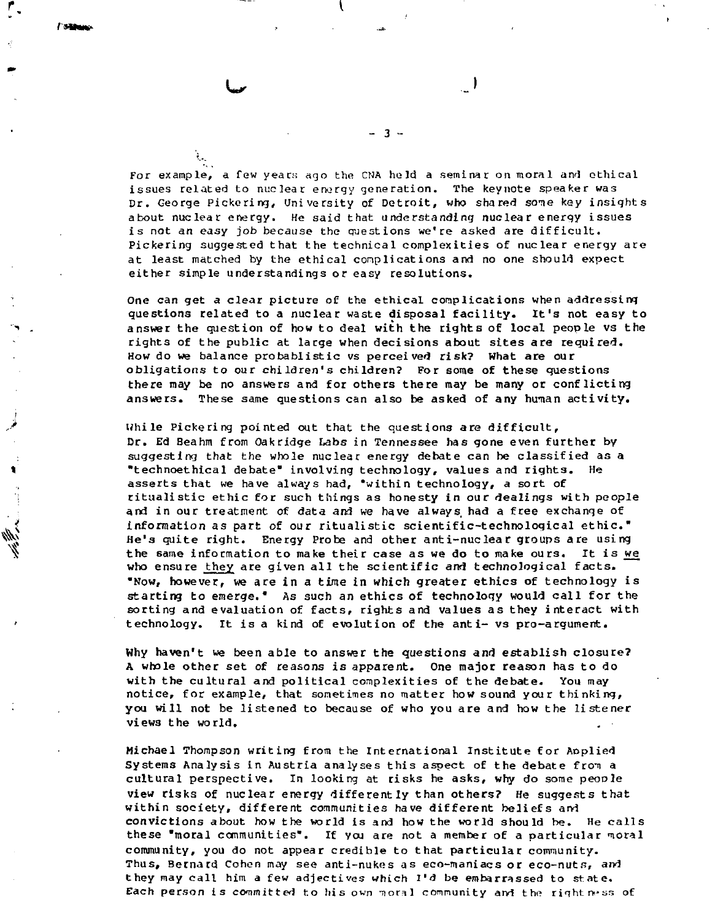$\mathcal{E}_{\mathcal{A}}$ 

**For example, a few years ago the CHA hold a seminar on moral arvl ethical issues related to nuclear energy generation. The keynote speaker was** Dr. George Pickering, University of Detroit, who shared some key insights **about nuclear energy. He said that understanding nuclear energy issues is not** *an easy* **job because the questions we're asked are difficult. Pickering suggested that the technical complexities of nuclear energy are at least matched by the ethical conplications and no one should expect either simple understandings or easy resolutions.**

**- 3 -**

**One can get a clear picture of the ethical complications when addressinq questions related to a nuclear waste disposal facility. It's not easy to answer the question of how to deal with the rights of local people vs the rights of the public at large when decisions about sites are required. How do we balance probablistic vs perceived risk? What are our obligations to our children's children? For some of these questions there may be no answers and for others there may be many or conflicting answers. These same questions can also be asked of any human activity.**

**While Pickering pointed out that the questions are difficult, Dr. Ed Beahm from Oakridge Labs in Tennessee has gone even further by suggesting that the whole nuclear energy debate can be classified as a "technoethical debate" involving technology, values and, rights. He asserts that we have always had, 'within technology, a sort of ritualistic ethic for such things as honesty in our dealings with people and in our treatment of data and we have always had a free exchange of information as part of our ritualistic scientific-technological ethic." He's quite right. Energy Probe and other anti-nuclear groups are using the same information to make their case as we do to make ours. It is &/e who ensure they are given all the scientific and technological facts. "Now, however, we are in a time in which greater ethics of technology is starting to emerge." As such an ethics of technology would call for the sorting and evaluation of facts, rights and values as they interact with technology. It is a kind of evolution of the anti- vs pro-argument.**

**Why haven't we been able to answer the questions and establish closure? A whole other set of reasons is apparent. One major reason has to do with the cultural and political complexities of the debate. You may notice, for example, that sometimes no matter how sound your thinking, you will not be listened to because of who you are and how the listener view3 the world.**

**Michael Thompson writing from the International Institute for Aoplied** Systems Analysis in Austria analyses this aspect of the debate from a **cultural perspective. In looking at risks he asks, why do some peooJe view risks of nuclear energy differently than others? He suggests that within society, different communities have different beliefs and convictions about how the world is and how the world should be. He calls these "moral communities\*. If you are not a member of a particular nioral community, you do not appear credible to that particular community. Thus, Bernard Cohen may see anti-nukes as eco-maniacs or eco-nuts, and they may call him a few adjectives which I'd be embarrassed to state.** Each person is committed to his own moral community and the rightness of

 $\overline{\phantom{a}}$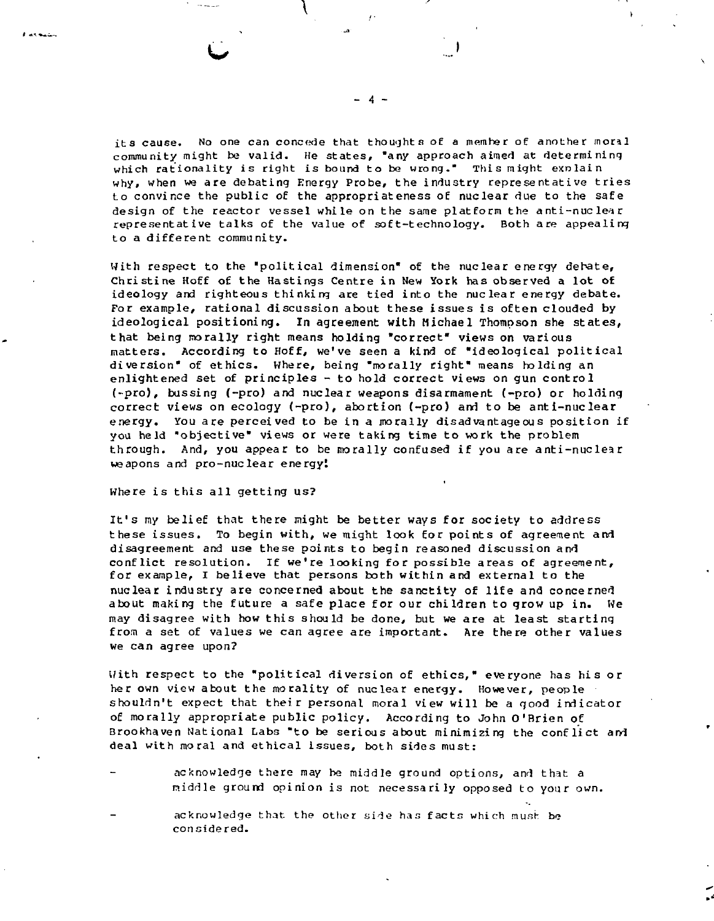which rationality is right is bound to be wrong." This might exnlain why, when we are debating Energy Probe, the industry representative tries to convince the public of the appropriateness oE nuclear due to the safe design of the reactor vessel while on the same platform the anti-nuclear representative talks of the value of soft-technology. Both are appealing to a different community.

With respect to the "political dimension" of the nuclear energy debate, Christine Hoff of the Hastings Centre in New York has observed a lot of ideology and righteous thinking are tied into the nuclear energy debate. For example, rational discussion about these issues is often clouded by ideological positioning. In agreement with Michael Thompson she states, that being morally right means holding "correct" views on various matters. According to Hoff, we've seen a kind of "ideological political diversion\* of ethics. Where, being "morally right" means holding an enlightened set of principles - to hold correct views on gun control (-pro), bussing (-pro) and nuclear weapons disarmament (-pro) or holding correct views on ecology (-pro), abortion (-pro) and to be anti-nuclear energy. You are perceived to be in a morally disadvantageous position if you held "objective" views or were taking time to work the problem through. And, you appear to be morally confused if you are anti-nuclear weapons and pro-nuclear energy!

Where is this all getting us?

It's my belief that there might be better ways for society to address these issues. To begin with, we might look for points of agreement and disagreement and use these points to begin reasoned discussion and conflict resolution. If we're looking for possible areas of agreement, for example, I believe that persons both within and external to the nuclear industry are concerned about the sanctity of life and concerned about making the future a safe place for our children to grow up in. We may disagree with how this should be done, but we are at least starting from a set of values we can agree are important. Are there other values we can agree upon?

With respect to the "political diversion of ethics," everyone has his or her own view about the morality of nuclear energy. However, people shouldn't expect that their personal moral view will be a good indicator of morally appropriate public policy. According to John O'Brien of Brookhaven National Labs "to be serious about minimizing the conflict and deal with moral and ethical issues, both sides must:

- acknowledge there may be middle ground options, and that a middle ground opinion is not necessarily opposed to your own.
	- acknowledge that the other side has facts which mush be con sidered.

**- 4 -**

J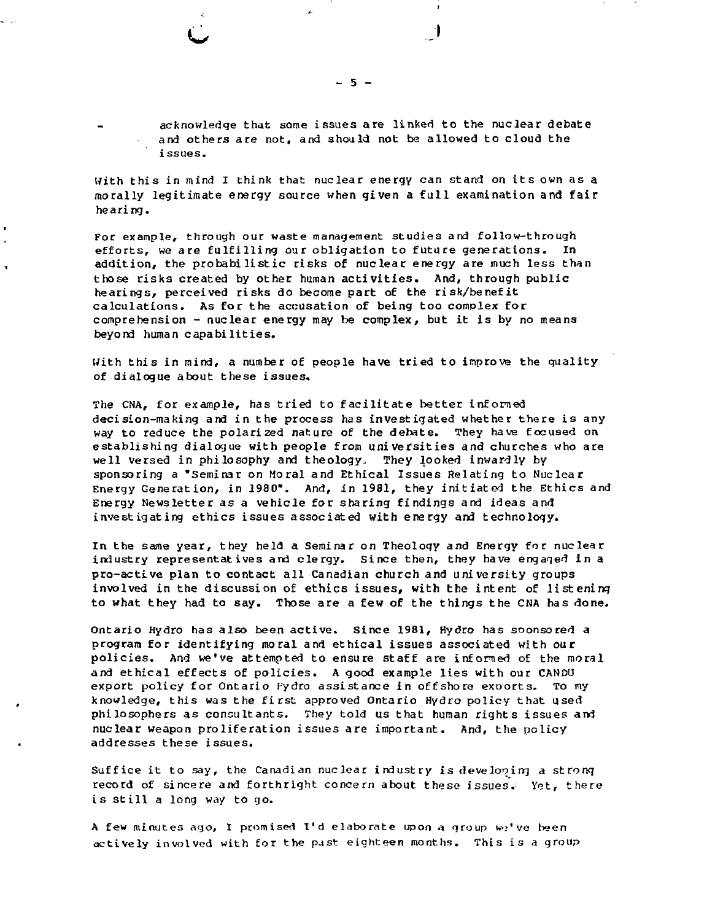$\ddotsc$ 

acknowledge that some issues are linked to the nuclear debate **and others are not, and should not be allowed to cloud the issues.**

 $\cdot$ 

 $\begin{array}{c} \hline \end{array}$ 

**With this in mind I think that nuclear energy can stand on its own as a morally legitimate energy source when given a full examination and fair hearing.**

**For example, through our waste management studies and follow-through efforts, we are fulfilling our obligation to future generations. In addition, the probabilistic risks of nuclear energy are much less than those risks created by other human activities. And, through public hearings, perceived risks do become part of the risk/benefit calculations. As for the accusation of being too complex for comprehension - nuclear energy may be complex, but it is by no means beyond human capabilities.**

**With this in mind, a number of people have tried to improve the quality of dialogue about these issues.**

**The CNA, for example, has tried to facilitate better informed decision-making and in the process has investigated whether there is any way to reduce the polarized nature of the debate. They have focused on establishing dialogue with people from universities and churches who are well versed in philosophy and theology. They looked inwardly by sponsoring a "Seminar on Moral and Ethical Issues Relating to Nuclear Energy Generation, in 1980". And, in 1981, they initiated the Ethics and Energy Newsletter as a vehicle for sharing findings and ideas and investigating ethics issues associated with energy and technology.**

**In the same year, they held a Seminar on Theoloqy and Energy for nuclear industry representatives and clergy. Since then, they have engaged in a pro-active plan to contact all Canadian church and university groups involved in the discussion of ethics issues, with the intent of listening to what they had to say. Those are a few of the things the CNA has done.**

**Ontario Hydro has also been active. Since 1981, Hydro has soonsored a program for identifying moral and ethical issues associated with our policies. And we've attempted to ensure staff are infomed of the moral and ethical effects of policies. A good example lies with our CANDU export policy for Ontario Hydro assistance in offshore exoorts. To my knowledge, this was the first approved Ontario Hydro policy that used philosophers as consultants. They told us that human rights issues and nuclear weapon proliferation issues are important. And, the policy addresses these issues.**

**Suffice it to say, the Canadian nuclear industry is developing** *a* **strong record of sincere and forthright concern about these issues.- Yet, there** is still a long way to go.

A few minutes ago, I promised I'd elaborate upon a group we've been **actively involved with for the past eighteen months. This is a group**